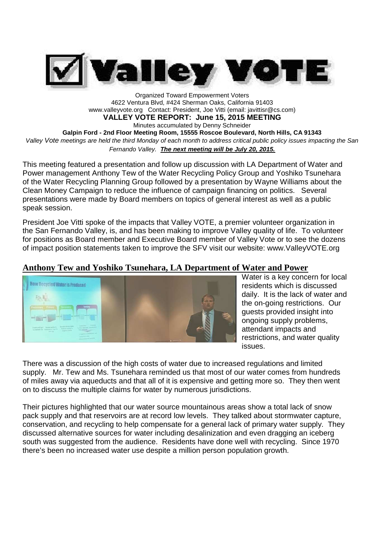

Organized Toward Empowerment Voters 4622 Ventura Blvd, #424 Sherman Oaks, California 91403 www.valleyvote.org Contact: President, Joe Vitti (email: javittisr@cs.com)

**VALLEY VOTE REPORT: June 15, 2015 MEETING**

Minutes accumulated by Denny Schneider

**Galpin Ford - 2nd Floor Meeting Room, 15555 Roscoe Boulevard, North Hills, CA 91343**

*Valley Vote meetings are held the third Monday of each month to address critical public policy issues impacting the San Fernando Valley. The next meeting will be July 20, 2015.*

This meeting featured a presentation and follow up discussion with LA Department of Water and Power management Anthony Tew of the Water Recycling Policy Group and Yoshiko Tsunehara of the Water Recycling Planning Group followed by a presentation by Wayne Williams about the Clean Money Campaign to reduce the influence of campaign financing on politics. Several presentations were made by Board members on topics of general interest as well as a public speak session.

President Joe Vitti spoke of the impacts that Valley VOTE, a premier volunteer organization in the San Fernando Valley, is, and has been making to improve Valley quality of life. To volunteer for positions as Board member and Executive Board member of Valley Vote or to see the dozens of impact position statements taken to improve the SFV visit our website: www.ValleyVOTE.org

### **Anthony Tew and Yoshiko Tsunehara, LA Department of Water and Power**



Water is a key concern for local residents which is discussed daily. It is the lack of water and the on-going restrictions. Our guests provided insight into ongoing supply problems, attendant impacts and restrictions, and water quality issues.

There was a discussion of the high costs of water due to increased regulations and limited supply. Mr. Tew and Ms. Tsunehara reminded us that most of our water comes from hundreds of miles away via aqueducts and that all of it is expensive and getting more so. They then went on to discuss the multiple claims for water by numerous jurisdictions.

Their pictures highlighted that our water source mountainous areas show a total lack of snow pack supply and that reservoirs are at record low levels. They talked about stormwater capture, conservation, and recycling to help compensate for a general lack of primary water supply. They discussed alternative sources for water including desalinization and even dragging an iceberg south was suggested from the audience. Residents have done well with recycling. Since 1970 there's been no increased water use despite a million person population growth.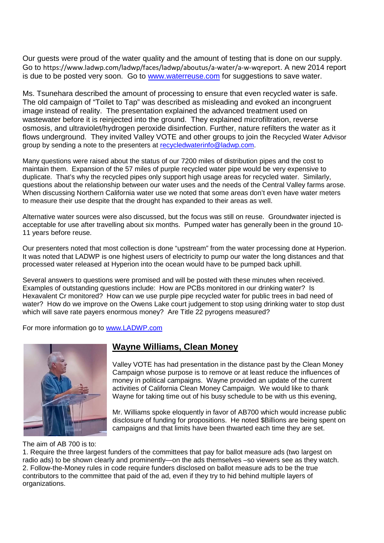Our guests were proud of the water quality and the amount of testing that is done on our supply. Go to https://www.ladwp.com/ladwp/faces/ladwp/aboutus/a-water/a-w-wqreport. A new 2014 report is due to be posted very soon. Go to www.waterreuse.com for suggestions to save water.

Ms. Tsunehara described the amount of processing to ensure that even recycled water is safe. The old campaign of "Toilet to Tap" was described as misleading and evoked an incongruent image instead of reality. The presentation explained the advanced treatment used on wastewater before it is reinjected into the ground. They explained microfiltration, reverse osmosis, and ultraviolet/hydrogen peroxide disinfection. Further, nature refilters the water as it flows underground. They invited Valley VOTE and other groups to join the Recycled Water Advisor group by sending a note to the presenters at recycledwaterinfo@ladwp.com.

Many questions were raised about the status of our 7200 miles of distribution pipes and the cost to maintain them. Expansion of the 57 miles of purple recycled water pipe would be very expensive to duplicate. That's why the recycled pipes only support high usage areas for recycled water. Similarly, questions about the relationship between our water uses and the needs of the Central Valley farms arose. When discussing Northern California water use we noted that some areas don't even have water meters to measure their use despite that the drought has expanded to their areas as well.

Alternative water sources were also discussed, but the focus was still on reuse. Groundwater injected is acceptable for use after travelling about six months. Pumped water has generally been in the ground 10- 11 years before reuse.

Our presenters noted that most collection is done "upstream" from the water processing done at Hyperion. It was noted that LADWP is one highest users of electricity to pump our water the long distances and that processed water released at Hyperion into the ocean would have to be pumped back uphill.

Several answers to questions were promised and will be posted with these minutes when received. Examples of outstanding questions include: How are PCBs monitored in our drinking water? Is Hexavalent Cr monitored? How can we use purple pipe recycled water for public trees in bad need of water? How do we improve on the Owens Lake court judgement to stop using drinking water to stop dust which will save rate payers enormous money? Are Title 22 pyrogens measured?

For more information go to www.LADWP.com



## **Wayne Williams, Clean Money**

Valley VOTE has had presentation in the distance past by the Clean Money Campaign whose purpose is to remove or at least reduce the influences of money in political campaigns. Wayne provided an update of the current activities of California Clean Money Campaign. We would like to thank Wayne for taking time out of his busy schedule to be with us this evening,

Mr. Williams spoke eloquently in favor of AB700 which would increase public disclosure of funding for propositions. He noted \$Billions are being spent on campaigns and that limits have been thwarted each time they are set.

The aim of AB 700 is to:

1. Require the three largest funders of the committees that pay for ballot measure ads (two largest on radio ads) to be shown clearly and prominently—on the ads themselves –so viewers see as they watch. 2. Follow-the-Money rules in code require funders disclosed on ballot measure ads to be the true contributors to the committee that paid of the ad, even if they try to hid behind multiple layers of organizations.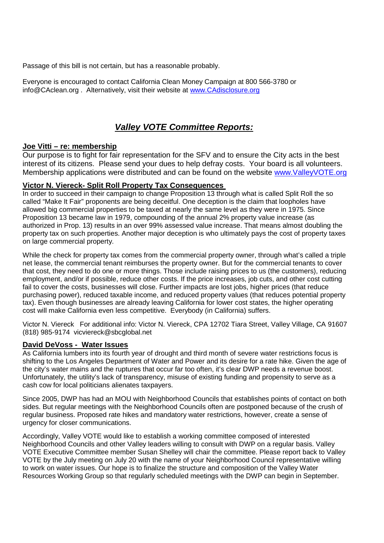Passage of this bill is not certain, but has a reasonable probably.

Everyone is encouraged to contact California Clean Money Campaign at 800 566-3780 or info@CAclean.org . Alternatively, visit their website at www.CAdisclosure.org

## *Valley VOTE Committee Reports:*

#### **Joe Vitti – re: membership**

Our purpose is to fight for fair representation for the SFV and to ensure the City acts in the best interest of its citizens. Please send your dues to help defray costs. Your board is all volunteers. Membership applications were distributed and can be found on the website www.ValleyVOTE.org

#### **Victor N. Viereck- Split Roll Property Tax Consequences**

In order to succeed in their campaign to change Proposition 13 through what is called Split Roll the so called "Make It Fair" proponents are being deceitful. One deception is the claim that loopholes have allowed big commercial properties to be taxed at nearly the same level as they were in 1975. Since Proposition 13 became law in 1979, compounding of the annual 2% property value increase (as authorized in Prop. 13) results in an over 99% assessed value increase. That means almost doubling the property tax on such properties. Another major deception is who ultimately pays the cost of property taxes on large commercial property.

While the check for property tax comes from the commercial property owner, through what's called a triple net lease, the commercial tenant reimburses the property owner. But for the commercial tenants to cover that cost, they need to do one or more things. Those include raising prices to us (the customers), reducing employment, and/or if possible, reduce other costs. If the price increases, job cuts, and other cost cutting fail to cover the costs, businesses will close. Further impacts are lost jobs, higher prices (that reduce purchasing power), reduced taxable income, and reduced property values (that reduces potential property tax). Even though businesses are already leaving California for lower cost states, the higher operating cost will make California even less competitive. Everybody (in California) suffers.

Victor N. Viereck For additional info: Victor N. Viereck, CPA 12702 Tiara Street, Valley Village, CA 91607 (818) 985-9174 vicviereck@sbcglobal.net

### **David DeVoss - Water Issues**

As California lumbers into its fourth year of drought and third month of severe water restrictions focus is shifting to the Los Angeles Department of Water and Power and its desire for a rate hike. Given the age of the city's water mains and the ruptures that occur far too often, it's clear DWP needs a revenue boost. Unfortunately, the utility's lack of transparency, misuse of existing funding and propensity to serve as a cash cow for local politicians alienates taxpayers.

Since 2005, DWP has had an MOU with Neighborhood Councils that establishes points of contact on both sides. But regular meetings with the Neighborhood Councils often are postponed because of the crush of regular business. Proposed rate hikes and mandatory water restrictions, however, create a sense of urgency for closer communications.

Accordingly, Valley VOTE would like to establish a working committee composed of interested Neighborhood Councils and other Valley leaders willing to consult with DWP on a regular basis. Valley VOTE Executive Committee member Susan Shelley will chair the committee. Please report back to Valley VOTE by the July meeting on July 20 with the name of your Neighborhood Council representative willing to work on water issues. Our hope is to finalize the structure and composition of the Valley Water Resources Working Group so that regularly scheduled meetings with the DWP can begin in September.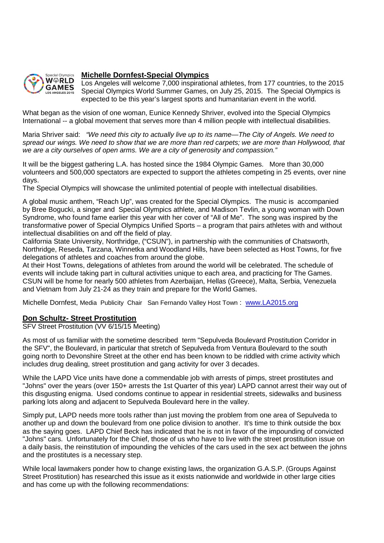

#### **Michelle Dornfest-Special Olympics**

Los Angeles will welcome 7,000 inspirational athletes, from 177 countries, to the 2015 Special Olympics World Summer Games, on July 25, 2015. The Special Olympics is expected to be this year's largest sports and humanitarian event in the world.

What began as the vision of one woman, Eunice Kennedy Shriver, evolved into the Special Olympics International -- a global movement that serves more than 4 million people with intellectual disabilities.

Maria Shriver said: *"We need this city to actually live up to its name—The City of Angels. We need to spread our wings. We need to show that we are more than red carpets; we are more than Hollywood, that we are a city ourselves of open arms. We are a city of generosity and compassion."*

It will be the biggest gathering L.A. has hosted since the 1984 Olympic Games. More than 30,000 volunteers and 500,000 spectators are expected to support the athletes competing in 25 events, over nine days.

The Special Olympics will showcase the unlimited potential of people with intellectual disabilities.

A global music anthem, "Reach Up", was created for the Special Olympics. The music is accompanied by Bree Bogucki, a singer and Special Olympics athlete, and Madison Tevlin, a young woman with Down Syndrome, who found fame earlier this year with her cover of "All of Me". The song was inspired by the transformative power of Special Olympics Unified Sports – a program that pairs athletes with and without intellectual disabilities on and off the field of play.

California State University, Northridge, ("CSUN"), in partnership with the communities of Chatsworth, Northridge, Reseda, Tarzana, Winnetka and Woodland Hills, have been selected as Host Towns, for five delegations of athletes and coaches from around the globe.

At their Host Towns, delegations of athletes from around the world will be celebrated. The schedule of events will include taking part in cultural activities unique to each area, and practicing for The Games. CSUN will be home for nearly 500 athletes from Azerbaijan, Hellas (Greece), Malta, Serbia, Venezuela and Vietnam from July 21-24 as they train and prepare for the World Games.

Michelle Dornfest, Media Publicity Chair San Fernando Valley Host Town : www.LA2015.org

### **Don Schultz- Street Prostitution**

SFV Street Prostitution (VV 6/15/15 Meeting)

As most of us familiar with the sometime described term "Sepulveda Boulevard Prostitution Corridor in the SFV", the Boulevard, in particular that stretch of Sepulveda from Ventura Boulevard to the south going north to Devonshire Street at the other end has been known to be riddled with crime activity which includes drug dealing, street prostitution and gang activity for over 3 decades.

While the LAPD Vice units have done a commendable job with arrests of pimps, street prostitutes and "Johns" over the years (over 150+ arrests the 1st Quarter of this year) LAPD cannot arrest their way out of this disgusting enigma. Used condoms continue to appear in residential streets, sidewalks and business parking lots along and adjacent to Sepulveda Boulevard here in the valley.

Simply put, LAPD needs more tools rather than just moving the problem from one area of Sepulveda to another up and down the boulevard from one police division to another. It's time to think outside the box as the saying goes. LAPD Chief Beck has indicated that he is not in favor of the impounding of convicted "Johns" cars. Unfortunately for the Chief, those of us who have to live with the street prostitution issue on a daily basis, the reinstitution of impounding the vehicles of the cars used in the sex act between the johns and the prostitutes is a necessary step.

While local lawmakers ponder how to change existing laws, the organization G.A.S.P. (Groups Against Street Prostitution) has researched this issue as it exists nationwide and worldwide in other large cities and has come up with the following recommendations: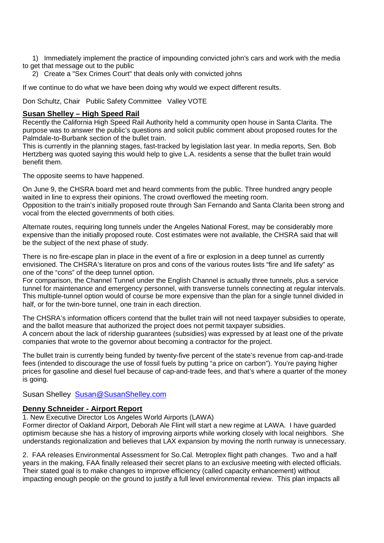- 1) Immediately implement the practice of impounding convicted john's cars and work with the media to get that message out to the public
	- 2) Create a "Sex Crimes Court" that deals only with convicted johns

If we continue to do what we have been doing why would we expect different results.

Don Schultz, Chair Public Safety Committee Valley VOTE

#### **Susan Shelley – High Speed Rail**

Recently the California High Speed Rail Authority held a community open house in Santa Clarita. The purpose was to answer the public's questions and solicit public comment about proposed routes for the Palmdale-to-Burbank section of the bullet train.

This is currently in the planning stages, fast-tracked by legislation last year. In media reports, Sen. Bob Hertzberg was quoted saying this would help to give L.A. residents a sense that the bullet train would benefit them.

The opposite seems to have happened.

On June 9, the CHSRA board met and heard comments from the public. Three hundred angry people waited in line to express their opinions. The crowd overflowed the meeting room. Opposition to the train's initially proposed route through San Fernando and Santa Clarita been strong and vocal from the elected governments of both cities.

Alternate routes, requiring long tunnels under the Angeles National Forest, may be considerably more expensive than the initially proposed route. Cost estimates were not available, the CHSRA said that will be the subject of the next phase of study.

There is no fire-escape plan in place in the event of a fire or explosion in a deep tunnel as currently envisioned. The CHSRA's literature on pros and cons of the various routes lists "fire and life safety" as one of the "cons" of the deep tunnel option.

For comparison, the Channel Tunnel under the English Channel is actually three tunnels, plus a service tunnel for maintenance and emergency personnel, with transverse tunnels connecting at regular intervals. This multiple-tunnel option would of course be more expensive than the plan for a single tunnel divided in half, or for the twin-bore tunnel, one train in each direction.

The CHSRA's information officers contend that the bullet train will not need taxpayer subsidies to operate, and the ballot measure that authorized the project does not permit taxpayer subsidies. A concern about the lack of ridership guarantees (subsidies) was expressed by at least one of the private companies that wrote to the governor about becoming a contractor for the project.

The bullet train is currently being funded by twenty-five percent of the state's revenue from cap-and-trade fees (intended to discourage the use of fossil fuels by putting "a price on carbon"). You're paying higher prices for gasoline and diesel fuel because of cap-and-trade fees, and that's where a quarter of the money is going.

Susan Shelley Susan@SusanShelley.com

### **Denny Schneider - Airport Report**

1. New Executive Director Los Angeles World Airports (LAWA)

Former director of Oakland Airport, Deborah Ale Flint will start a new regime at LAWA. I have guarded optimism because she has a history of improving airports while working closely with local neighbors. She understands regionalization and believes that LAX expansion by moving the north runway is unnecessary.

2. FAA releases Environmental Assessment for So.Cal. Metroplex flight path changes. Two and a half years in the making, FAA finally released their secret plans to an exclusive meeting with elected officials. Their stated goal is to make changes to improve efficiency (called capacity enhancement) without impacting enough people on the ground to justify a full level environmental review. This plan impacts all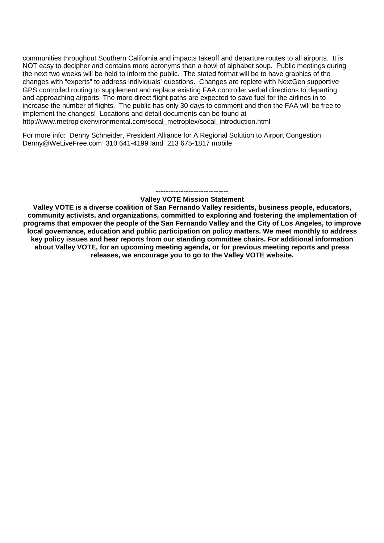communities throughout Southern California and impacts takeoff and departure routes to all airports. It is NOT easy to decipher and contains more acronyms than a bowl of alphabet soup. Public meetings during the next two weeks will be held to inform the public. The stated format will be to have graphics of the changes with "experts" to address individuals' questions. Changes are replete with NextGen supportive GPS controlled routing to supplement and replace existing FAA controller verbal directions to departing and approaching airports. The more direct flight paths are expected to save fuel for the airlines in to increase the number of flights. The public has only 30 days to comment and then the FAA will be free to implement the changes! Locations and detail documents can be found at http://www.metroplexenvironmental.com/socal\_metroplex/socal\_introduction.html

For more info: Denny Schneider, President Alliance for A Regional Solution to Airport Congestion Denny@WeLiveFree.com 310 641-4199 land 213 675-1817 mobile

#### ----------------------------- **Valley VOTE Mission Statement**

**Valley VOTE is a diverse coalition of San Fernando Valley residents, business people, educators, community activists, and organizations, committed to exploring and fostering the implementation of programs that empower the people of the San Fernando Valley and the City of Los Angeles, to improve local governance, education and public participation on policy matters. We meet monthly to address key policy issues and hear reports from our standing committee chairs. For additional information about Valley VOTE, for an upcoming meeting agenda, or for previous meeting reports and press releases, we encourage you to go to the Valley VOTE website.**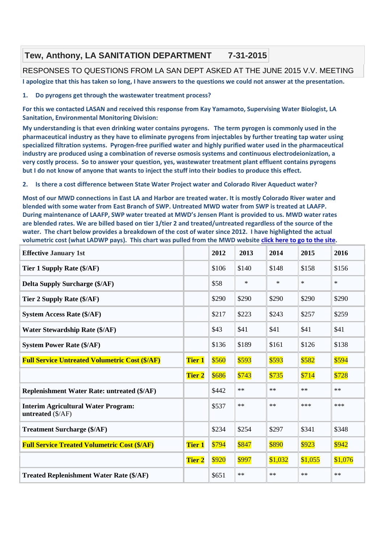# **Tew, Anthony, LA SANITATION DEPARTMENT 7-31-2015**

### RESPONSES TO QUESTIONS FROM LA SAN DEPT ASKED AT THE JUNE 2015 V.V. MEETING

**I apologize that this has taken so long, I have answers to the questions we could not answer at the presentation.**

#### **1. Do pyrogens get through the wastewater treatment process?**

**For this we contacted LASAN and received this response from Kay Yamamoto, Supervising Water Biologist, LA Sanitation, Environmental Monitoring Division:**

**My understanding is that even drinking water contains pyrogens. The term pyrogen is commonly used in the pharmaceutical industry as they have to eliminate pyrogens from injectables by further treating tap water using specialized filtration systems. Pyrogen-free purified water and highly purified water used in the pharmaceutical industry are produced using a combination of reverse osmosis systems and continuous electrodeionization, a very costly process. So to answer your question, yes, wastewater treatment plant effluent contains pyrogens but I do not know of anyone that wants to inject the stuff into their bodies to produce this effect.**

#### **2. Is there a cost difference between State Water Project water and Colorado River Aqueduct water?**

**Most of our MWD connections in East LA and Harbor are treated water. It is mostly Colorado River water and blended with some water from East Branch of SWP. Untreated MWD water from SWP is treated at LAAFP. During maintenance of LAAFP, SWP water treated at MWD's Jensen Plant is provided to us. MWD water rates are blended rates. We are billed based on tier 1/tier 2 and treated/untreated regardless of the source of the water. The chart below provides a breakdown of the cost of water since 2012. I have highlighted the actual volumetric cost (what LADWP pays). This chart was pulled from the MWD website click here to go to the site.**

| <b>Effective January 1st</b>                                             |               | 2012  | 2013   | 2014    | 2015    | 2016    |
|--------------------------------------------------------------------------|---------------|-------|--------|---------|---------|---------|
| Tier 1 Supply Rate (\$/AF)                                               |               | \$106 | \$140  | \$148   | \$158   | \$156   |
| <b>Delta Supply Surcharge (\$/AF)</b>                                    |               | \$58  | $\ast$ | $\ast$  | $\ast$  | $\ast$  |
| Tier 2 Supply Rate (\$/AF)                                               |               | \$290 | \$290  | \$290   | \$290   | \$290   |
| <b>System Access Rate (\$/AF)</b>                                        |               | \$217 | \$223  | \$243   | \$257   | \$259   |
| <b>Water Stewardship Rate (\$/AF)</b>                                    |               | \$43  | \$41   | \$41    | \$41    | \$41    |
| <b>System Power Rate (\$/AF)</b>                                         |               | \$136 | \$189  | \$161   | \$126   | \$138   |
| <b>Full Service Untreated Volumetric Cost (\$/AF)</b>                    | <b>Tier 1</b> | \$560 | \$593  | \$593   | \$582   | \$594   |
|                                                                          | <b>Tier 2</b> | \$686 | \$743  | \$735   | \$714   | \$728   |
| <b>Replenishment Water Rate: untreated (\$/AF)</b>                       |               | \$442 | $***$  | $***$   | $**$    | $***$   |
| <b>Interim Agricultural Water Program:</b><br>untreated $(\frac{S}{AF})$ |               | \$537 | $***$  | $***$   | $***$   | ***     |
| <b>Treatment Surcharge (\$/AF)</b>                                       |               | \$234 | \$254  | \$297   | \$341   | \$348   |
| <b>Full Service Treated Volumetric Cost (\$/AF)</b>                      | <b>Tier 1</b> | \$794 | \$847  | \$890   | \$923   | \$942   |
|                                                                          | <b>Tier 2</b> | \$920 | \$997  | \$1,032 | \$1,055 | \$1,076 |
| <b>Treated Replenishment Water Rate (\$/AF)</b>                          |               | \$651 | $***$  | $***$   | $***$   | $***$   |